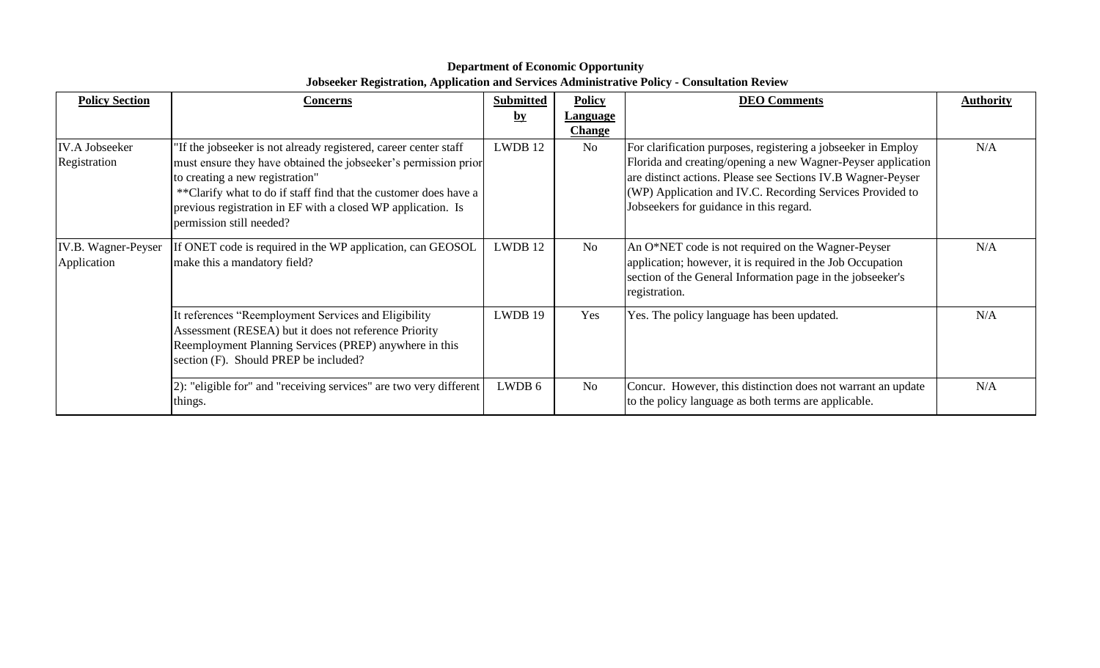| <b>Policy Section</b>                 | Concerns                                                                                                                                                                                                                                                                                                                               | <b>Submitted</b><br>$\mathbf{b} \mathbf{y}$ | <b>Policy</b><br><b>Language</b> | <b>DEO Comments</b>                                                                                                                                                                                                                                                                                   | <b>Authority</b> |
|---------------------------------------|----------------------------------------------------------------------------------------------------------------------------------------------------------------------------------------------------------------------------------------------------------------------------------------------------------------------------------------|---------------------------------------------|----------------------------------|-------------------------------------------------------------------------------------------------------------------------------------------------------------------------------------------------------------------------------------------------------------------------------------------------------|------------------|
|                                       |                                                                                                                                                                                                                                                                                                                                        |                                             | <b>Change</b>                    |                                                                                                                                                                                                                                                                                                       |                  |
| <b>IV.A Jobseeker</b><br>Registration | If the jobseeker is not already registered, career center staff<br>must ensure they have obtained the jobseeker's permission prior<br>to creating a new registration"<br>** Clarify what to do if staff find that the customer does have a<br>previous registration in EF with a closed WP application. Is<br>permission still needed? | LWDB 12                                     | No                               | For clarification purposes, registering a jobseeker in Employ<br>Florida and creating/opening a new Wagner-Peyser application<br>are distinct actions. Please see Sections IV.B Wagner-Peyser<br>(WP) Application and IV.C. Recording Services Provided to<br>Jobseekers for guidance in this regard. | N/A              |
| IV.B. Wagner-Peyser<br>Application    | If ONET code is required in the WP application, can GEOSOL<br>make this a mandatory field?                                                                                                                                                                                                                                             | LWDB 12                                     | N <sub>0</sub>                   | An O*NET code is not required on the Wagner-Peyser<br>application; however, it is required in the Job Occupation<br>section of the General Information page in the jobseeker's<br>registration.                                                                                                       | N/A              |
|                                       | It references "Reemployment Services and Eligibility<br>Assessment (RESEA) but it does not reference Priority<br>Reemployment Planning Services (PREP) anywhere in this<br>section (F). Should PREP be included?                                                                                                                       | LWDB 19                                     | Yes                              | Yes. The policy language has been updated.                                                                                                                                                                                                                                                            | N/A              |
|                                       | 2): "eligible for" and "receiving services" are two very different<br>things.                                                                                                                                                                                                                                                          | LWDB 6                                      | No                               | Concur. However, this distinction does not warrant an update<br>to the policy language as both terms are applicable.                                                                                                                                                                                  | N/A              |

## **Department of Economic Opportunity Jobseeker Registration, Application and Services Administrative Policy - Consultation Review**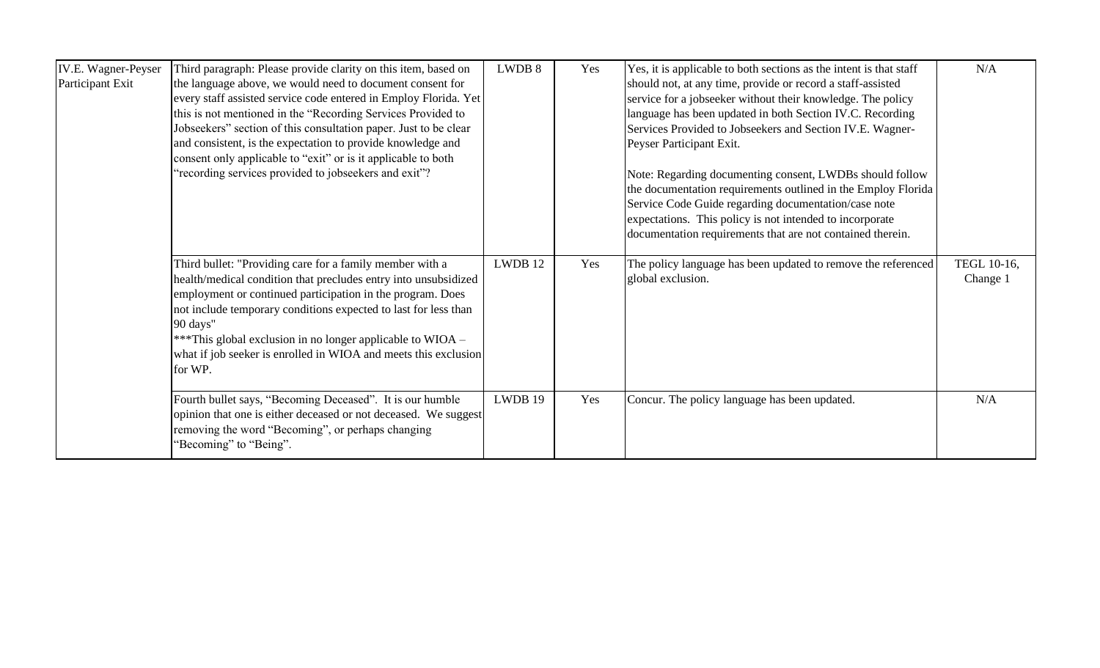| IV.E. Wagner-Peyser<br>Participant Exit | Third paragraph: Please provide clarity on this item, based on<br>the language above, we would need to document consent for<br>every staff assisted service code entered in Employ Florida. Yet<br>this is not mentioned in the "Recording Services Provided to<br>Jobseekers" section of this consultation paper. Just to be clear<br>and consistent, is the expectation to provide knowledge and<br>consent only applicable to "exit" or is it applicable to both<br>"recording services provided to jobseekers and exit"? | LWDB 8  | Yes | Yes, it is applicable to both sections as the intent is that staff<br>should not, at any time, provide or record a staff-assisted<br>service for a jobseeker without their knowledge. The policy<br>language has been updated in both Section IV.C. Recording<br>Services Provided to Jobseekers and Section IV.E. Wagner-<br>Peyser Participant Exit.<br>Note: Regarding documenting consent, LWDBs should follow<br>the documentation requirements outlined in the Employ Florida<br>Service Code Guide regarding documentation/case note<br>expectations. This policy is not intended to incorporate<br>documentation requirements that are not contained therein. | N/A                     |
|-----------------------------------------|------------------------------------------------------------------------------------------------------------------------------------------------------------------------------------------------------------------------------------------------------------------------------------------------------------------------------------------------------------------------------------------------------------------------------------------------------------------------------------------------------------------------------|---------|-----|-----------------------------------------------------------------------------------------------------------------------------------------------------------------------------------------------------------------------------------------------------------------------------------------------------------------------------------------------------------------------------------------------------------------------------------------------------------------------------------------------------------------------------------------------------------------------------------------------------------------------------------------------------------------------|-------------------------|
|                                         | Third bullet: "Providing care for a family member with a<br>health/medical condition that precludes entry into unsubsidized<br>employment or continued participation in the program. Does<br>not include temporary conditions expected to last for less than<br>90 days"<br>***This global exclusion in no longer applicable to WIOA –<br>what if job seeker is enrolled in WIOA and meets this exclusion<br>for WP.                                                                                                         | LWDB 12 | Yes | The policy language has been updated to remove the referenced<br>global exclusion.                                                                                                                                                                                                                                                                                                                                                                                                                                                                                                                                                                                    | TEGL 10-16,<br>Change 1 |
|                                         | Fourth bullet says, "Becoming Deceased". It is our humble<br>opinion that one is either deceased or not deceased. We suggest<br>removing the word "Becoming", or perhaps changing<br>"Becoming" to "Being".                                                                                                                                                                                                                                                                                                                  | LWDB 19 | Yes | Concur. The policy language has been updated.                                                                                                                                                                                                                                                                                                                                                                                                                                                                                                                                                                                                                         | N/A                     |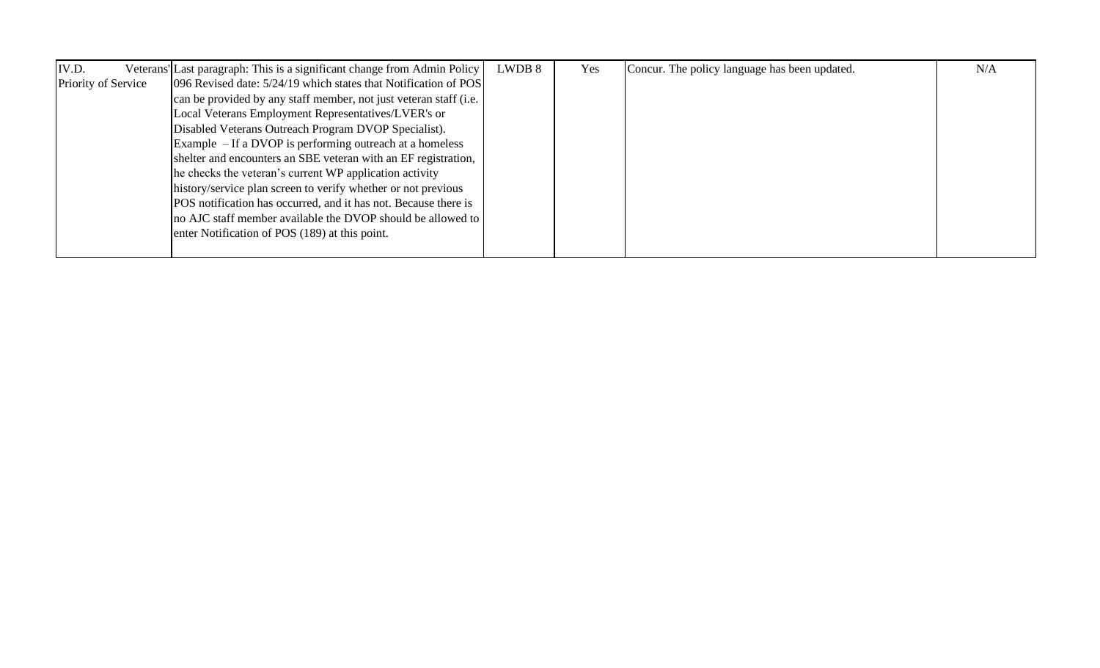| IV.D.               | Veterans' Last paragraph: This is a significant change from Admin Policy | LWDB 8 | Yes | Concur. The policy language has been updated. | N/A |
|---------------------|--------------------------------------------------------------------------|--------|-----|-----------------------------------------------|-----|
| Priority of Service | [096 Revised date: 5/24/19 which states that Notification of POS]        |        |     |                                               |     |
|                     | can be provided by any staff member, not just veteran staff (i.e.        |        |     |                                               |     |
|                     | Local Veterans Employment Representatives/LVER's or                      |        |     |                                               |     |
|                     | Disabled Veterans Outreach Program DVOP Specialist).                     |        |     |                                               |     |
|                     | Example $-$ If a DVOP is performing outreach at a homeless               |        |     |                                               |     |
|                     | shelter and encounters an SBE veteran with an EF registration,           |        |     |                                               |     |
|                     | he checks the veteran's current WP application activity                  |        |     |                                               |     |
|                     | history/service plan screen to verify whether or not previous            |        |     |                                               |     |
|                     | POS notification has occurred, and it has not. Because there is          |        |     |                                               |     |
|                     | no AJC staff member available the DVOP should be allowed to              |        |     |                                               |     |
|                     | enter Notification of POS (189) at this point.                           |        |     |                                               |     |
|                     |                                                                          |        |     |                                               |     |